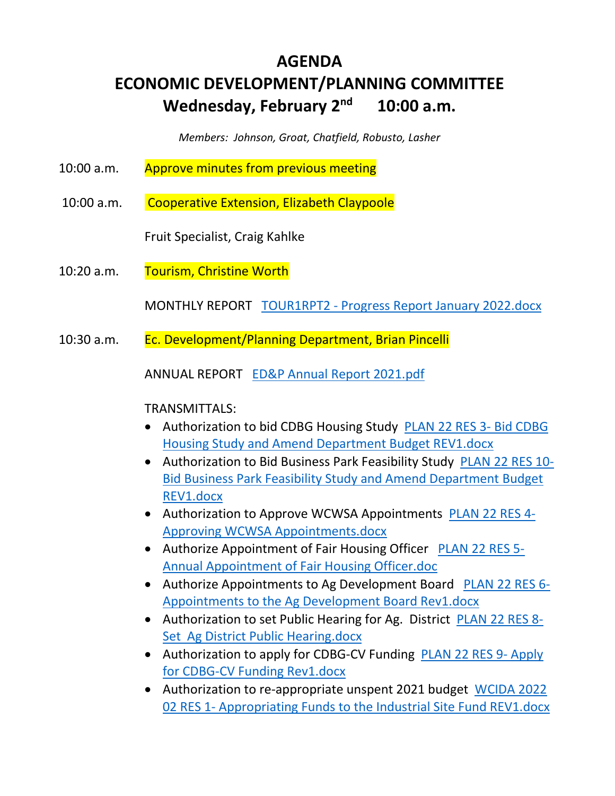# **AGENDA ECONOMIC DEVELOPMENT/PLANNING COMMITTEE Wednesday, February 2nd 10:00 a.m.**

*Members: Johnson, Groat, Chatfield, Robusto, Lasher* 

- 10:00 a.m. Approve minutes from previous meeting
- 10:00 a.m. Cooperative Extension, Elizabeth Claypoole

Fruit Specialist, Craig Kahlke

10:20 a.m. Tourism, Christine Worth

MONTHLY REPORT TOUR1RPT2 - Progress Report January 2022.docx

10:30 a.m. Ec. Development/Planning Department, Brian Pincelli

ANNUAL REPORT ED&P Annual Report 2021.pdf

# TRANSMITTALS:

- Authorization to bid CDBG Housing Study PLAN 22 RES 3- Bid CDBG Housing Study and Amend Department Budget REV1.docx
- Authorization to Bid Business Park Feasibility Study PLAN 22 RES 10- Bid Business Park Feasibility Study and Amend Department Budget REV1.docx
- Authorization to Approve WCWSA Appointments PLAN 22 RES 4-Approving WCWSA Appointments.docx
- Authorize Appointment of Fair Housing Officer PLAN 22 RES 5- Annual Appointment of Fair Housing Officer.doc
- Authorize Appointments to Ag Development Board PLAN 22 RES 6-Appointments to the Ag Development Board Rev1.docx
- Authorization to set Public Hearing for Ag. District PLAN 22 RES 8-Set Ag District Public Hearing.docx
- Authorization to apply for CDBG-CV Funding PLAN 22 RES 9- Apply for CDBG-CV Funding Rev1.docx
- Authorization to re-appropriate unspent 2021 budget WCIDA 2022 02 RES 1- Appropriating Funds to the Industrial Site Fund REV1.docx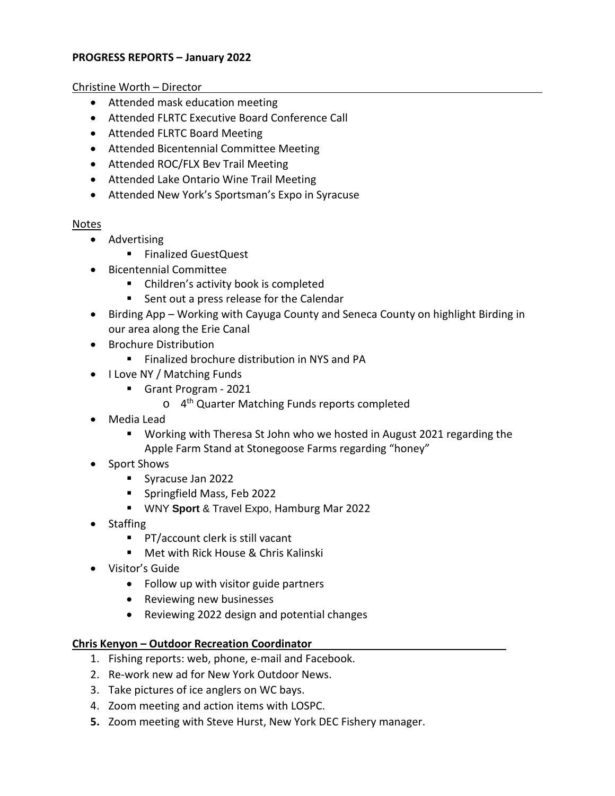# **PROGRESS REPORTS – January 2022**

Christine Worth – Director

- Attended mask education meeting
- Attended FLRTC Executive Board Conference Call
- Attended FLRTC Board Meeting
- Attended Bicentennial Committee Meeting
- Attended ROC/FLX Bev Trail Meeting
- Attended Lake Ontario Wine Trail Meeting
- Attended New York's Sportsman's Expo in Syracuse

# Notes

- Advertising
	- Finalized GuestQuest
- Bicentennial Committee
	- Children's activity book is completed
	- **Sent out a press release for the Calendar**
- Birding App Working with Cayuga County and Seneca County on highlight Birding in our area along the Erie Canal
- Brochure Distribution
	- **Finalized brochure distribution in NYS and PA**
- I Love NY / Matching Funds
	- Grant Program 2021
		- o 4<sup>th</sup> Quarter Matching Funds reports completed
- Media Lead
	- Working with Theresa St John who we hosted in August 2021 regarding the Apple Farm Stand at Stonegoose Farms regarding "honey"
- Sport Shows
	- Syracuse Jan 2022
	- **Springfield Mass, Feb 2022**
	- WNY **Sport** & Travel Expo, Hamburg Mar 2022
- Staffing
	- PT/account clerk is still vacant
	- Met with Rick House & Chris Kalinski
- Visitor's Guide
	- Follow up with visitor guide partners
	- Reviewing new businesses
	- Reviewing 2022 design and potential changes

# **Chris Kenyon – Outdoor Recreation Coordinator**

- 1. Fishing reports: web, phone, e-mail and Facebook.
- 2. Re-work new ad for New York Outdoor News.
- 3. Take pictures of ice anglers on WC bays.
- 4. Zoom meeting and action items with LOSPC.
- **5.** Zoom meeting with Steve Hurst, New York DEC Fishery manager.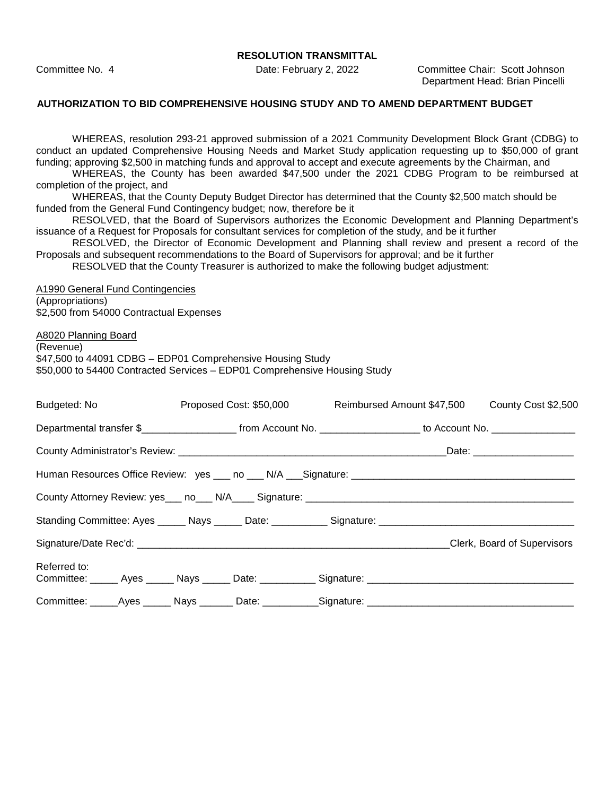Committee No. 4 Date: February 2, 2022 Committee Chair: Scott Johnson Department Head: Brian Pincelli

#### **AUTHORIZATION TO BID COMPREHENSIVE HOUSING STUDY AND TO AMEND DEPARTMENT BUDGET**

WHEREAS, resolution 293-21 approved submission of a 2021 Community Development Block Grant (CDBG) to conduct an updated Comprehensive Housing Needs and Market Study application requesting up to \$50,000 of grant funding; approving \$2,500 in matching funds and approval to accept and execute agreements by the Chairman, and

WHEREAS, the County has been awarded \$47,500 under the 2021 CDBG Program to be reimbursed at completion of the project, and

WHEREAS, that the County Deputy Budget Director has determined that the County \$2,500 match should be funded from the General Fund Contingency budget; now, therefore be it

RESOLVED, that the Board of Supervisors authorizes the Economic Development and Planning Department's issuance of a Request for Proposals for consultant services for completion of the study, and be it further

RESOLVED, the Director of Economic Development and Planning shall review and present a record of the Proposals and subsequent recommendations to the Board of Supervisors for approval; and be it further

RESOLVED that the County Treasurer is authorized to make the following budget adjustment:

A1990 General Fund Contingencies (Appropriations) \$2,500 from 54000 Contractual Expenses

A8020 Planning Board

(Revenue) \$47,500 to 44091 CDBG – EDP01 Comprehensive Housing Study \$50,000 to 54400 Contracted Services – EDP01 Comprehensive Housing Study

| Budgeted: No <b>Example</b> | Proposed Cost: \$50,000 Reimbursed Amount \$47,500 County Cost \$2,500                                           |  |                             |
|-----------------------------|------------------------------------------------------------------------------------------------------------------|--|-----------------------------|
|                             | Departmental transfer \$_______________________ from Account No. ___________________ to Account No. ____________ |  |                             |
|                             |                                                                                                                  |  |                             |
|                             |                                                                                                                  |  |                             |
|                             |                                                                                                                  |  |                             |
|                             |                                                                                                                  |  |                             |
|                             |                                                                                                                  |  | Clerk, Board of Supervisors |
| Referred to:                | Committee: ______ Ayes ______ Nays ______ Date: ___________ Signature: _____________________________             |  |                             |
|                             | Committee: ______Ayes _______ Nays ________ Date: ___________Signature: ___________________________              |  |                             |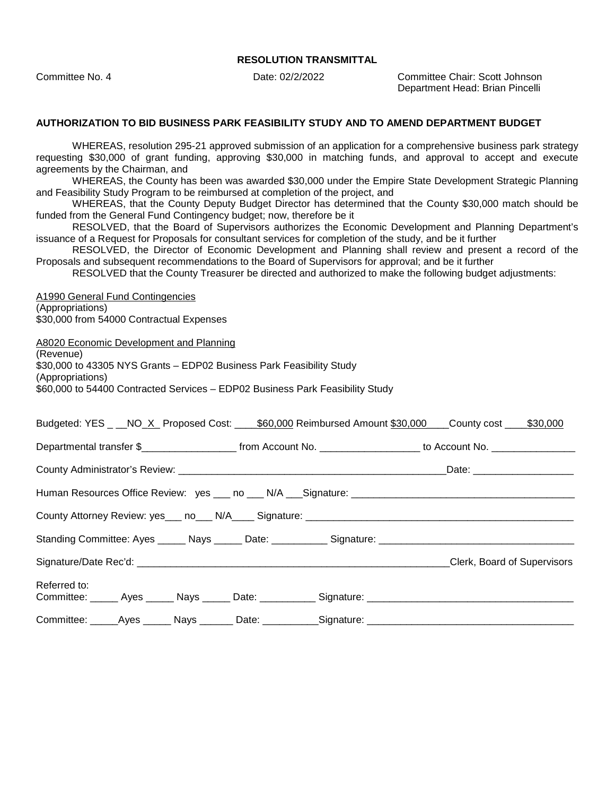Committee No. 4 Date: 02/2/2022 Committee Chair: Scott Johnson Department Head: Brian Pincelli

#### **AUTHORIZATION TO BID BUSINESS PARK FEASIBILITY STUDY AND TO AMEND DEPARTMENT BUDGET**

WHEREAS, resolution 295-21 approved submission of an application for a comprehensive business park strategy requesting \$30,000 of grant funding, approving \$30,000 in matching funds, and approval to accept and execute agreements by the Chairman, and

WHEREAS, the County has been was awarded \$30,000 under the Empire State Development Strategic Planning and Feasibility Study Program to be reimbursed at completion of the project, and

WHEREAS, that the County Deputy Budget Director has determined that the County \$30,000 match should be funded from the General Fund Contingency budget; now, therefore be it

RESOLVED, that the Board of Supervisors authorizes the Economic Development and Planning Department's issuance of a Request for Proposals for consultant services for completion of the study, and be it further

RESOLVED, the Director of Economic Development and Planning shall review and present a record of the Proposals and subsequent recommendations to the Board of Supervisors for approval; and be it further

RESOLVED that the County Treasurer be directed and authorized to make the following budget adjustments:

A1990 General Fund Contingencies (Appropriations) \$30,000 from 54000 Contractual Expenses

A8020 Economic Development and Planning

(Revenue)

\$30,000 to 43305 NYS Grants – EDP02 Business Park Feasibility Study

(Appropriations) \$60,000 to 54400 Contracted Services – EDP02 Business Park Feasibility Study

| Budgeted: YES _ __NO_X_ Proposed Cost: ____\$60,000 Reimbursed Amount \$30,000 ___County cost ____\$30,000          |                             |
|---------------------------------------------------------------------------------------------------------------------|-----------------------------|
|                                                                                                                     |                             |
|                                                                                                                     |                             |
| Human Resources Office Review: yes ___ no ___ N/A ___ Signature: ___________________________________                |                             |
|                                                                                                                     |                             |
|                                                                                                                     |                             |
|                                                                                                                     | Clerk, Board of Supervisors |
| Referred to:<br>Committee: ______ Ayes ______ Nays ______ Date: ___________ Signature: ____________________________ |                             |
| Committee: _____Ayes ______ Nays _______ Date: ___________Signature: ______________________________                 |                             |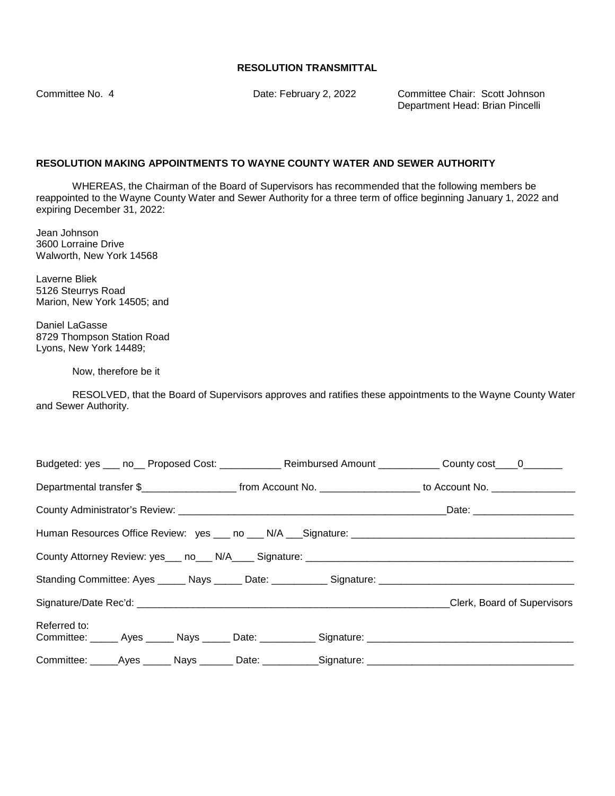Committee No. 4 Date: February 2, 2022 Committee Chair: Scott Johnson Department Head: Brian Pincelli

## **RESOLUTION MAKING APPOINTMENTS TO WAYNE COUNTY WATER AND SEWER AUTHORITY**

WHEREAS, the Chairman of the Board of Supervisors has recommended that the following members be reappointed to the Wayne County Water and Sewer Authority for a three term of office beginning January 1, 2022 and expiring December 31, 2022:

Jean Johnson 3600 Lorraine Drive Walworth, New York 14568

Laverne Bliek 5126 Steurrys Road Marion, New York 14505; and

Daniel LaGasse 8729 Thompson Station Road Lyons, New York 14489;

Now, therefore be it

RESOLVED, that the Board of Supervisors approves and ratifies these appointments to the Wayne County Water and Sewer Authority.

| Budgeted: yes ___ no__ Proposed Cost: ____________ Reimbursed Amount ___________ County cost____0_______                                 |  |                             |
|------------------------------------------------------------------------------------------------------------------------------------------|--|-----------------------------|
| Departmental transfer \$________________________________from Account No. ____________________________ to Account No. ___________________ |  |                             |
|                                                                                                                                          |  |                             |
|                                                                                                                                          |  |                             |
|                                                                                                                                          |  |                             |
| Standing Committee: Ayes ______ Nays ______ Date: ___________ Signature: ___________________________                                     |  |                             |
|                                                                                                                                          |  | Clerk, Board of Supervisors |
| Referred to:<br>Committee: _____ Ayes _____ Nays _____ Date: __________ Signature: ________________________________                      |  |                             |
| Committee: _____Ayes ______ Nays _______ Date: ___________Signature: ______________________________                                      |  |                             |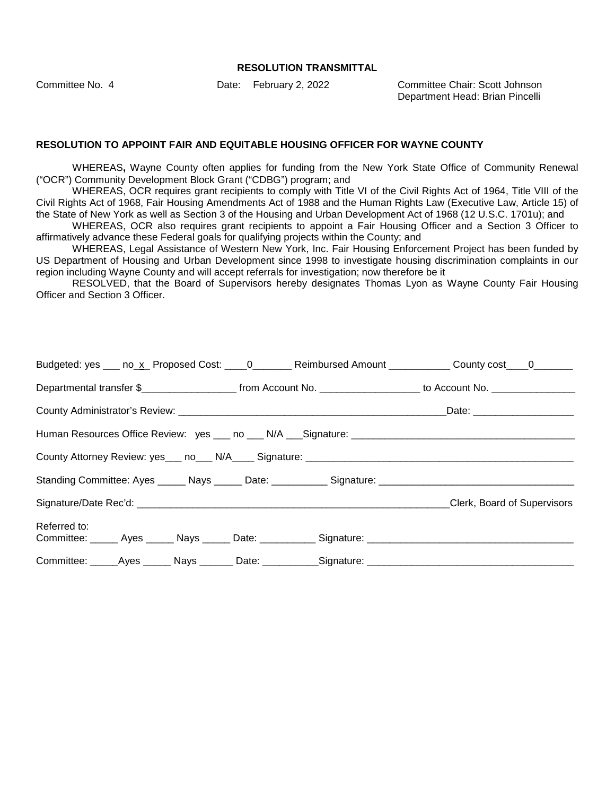Committee No. 4 Date: February 2, 2022 Committee Chair: Scott Johnson Department Head: Brian Pincelli

#### **RESOLUTION TO APPOINT FAIR AND EQUITABLE HOUSING OFFICER FOR WAYNE COUNTY**

WHEREAS**,** Wayne County often applies for funding from the New York State Office of Community Renewal ("OCR") Community Development Block Grant ("CDBG") program; and

WHEREAS, OCR requires grant recipients to comply with Title VI of the Civil Rights Act of 1964, Title VIII of the Civil Rights Act of 1968, Fair Housing Amendments Act of 1988 and the Human Rights Law (Executive Law, Article 15) of the State of New York as well as Section 3 of the Housing and Urban Development Act of 1968 (12 U.S.C. 1701u); and

WHEREAS, OCR also requires grant recipients to appoint a Fair Housing Officer and a Section 3 Officer to affirmatively advance these Federal goals for qualifying projects within the County; and

WHEREAS, Legal Assistance of Western New York, Inc. Fair Housing Enforcement Project has been funded by US Department of Housing and Urban Development since 1998 to investigate housing discrimination complaints in our region including Wayne County and will accept referrals for investigation; now therefore be it

RESOLVED, that the Board of Supervisors hereby designates Thomas Lyon as Wayne County Fair Housing Officer and Section 3 Officer.

|                                                                                                                      |  | Budgeted: yes ___ no_x_ Proposed Cost: ____0_______ Reimbursed Amount ___________ County cost ____0_______                              |
|----------------------------------------------------------------------------------------------------------------------|--|-----------------------------------------------------------------------------------------------------------------------------------------|
|                                                                                                                      |  | Departmental transfer \$________________________________from Account No. ____________________________ to Account No. __________________ |
|                                                                                                                      |  |                                                                                                                                         |
|                                                                                                                      |  |                                                                                                                                         |
|                                                                                                                      |  |                                                                                                                                         |
|                                                                                                                      |  |                                                                                                                                         |
|                                                                                                                      |  | <b>Clerk, Board of Supervisors</b>                                                                                                      |
| Referred to:<br>Committee: ______ Ayes ______ Nays ______ Date: ___________ Signature: _____________________________ |  |                                                                                                                                         |
| Committee: ______Ayes _______ Nays ________ Date: ___________Signature: ____________________________                 |  |                                                                                                                                         |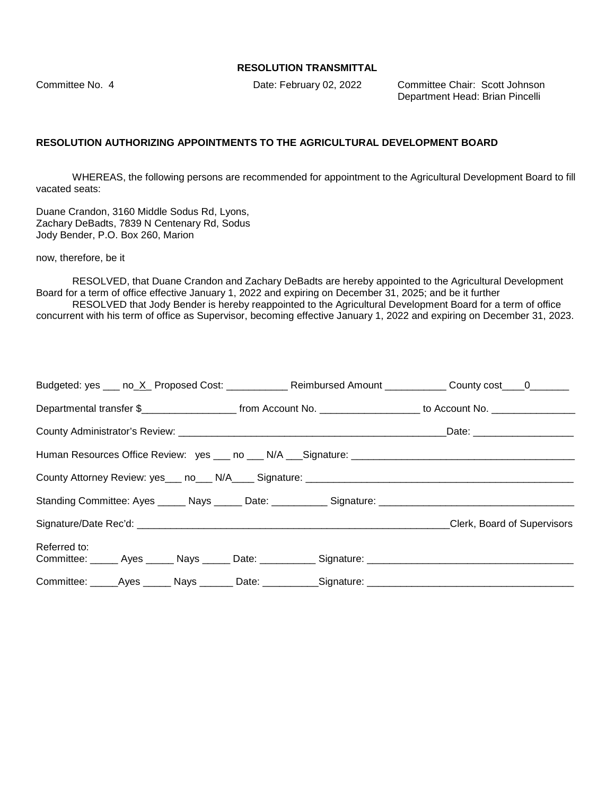Committee No. 4 Date: February 02, 2022 Committee Chair: Scott Johnson Department Head: Brian Pincelli

#### **RESOLUTION AUTHORIZING APPOINTMENTS TO THE AGRICULTURAL DEVELOPMENT BOARD**

WHEREAS, the following persons are recommended for appointment to the Agricultural Development Board to fill vacated seats:

Duane Crandon, 3160 Middle Sodus Rd, Lyons, Zachary DeBadts, 7839 N Centenary Rd, Sodus Jody Bender, P.O. Box 260, Marion

now, therefore, be it

RESOLVED, that Duane Crandon and Zachary DeBadts are hereby appointed to the Agricultural Development Board for a term of office effective January 1, 2022 and expiring on December 31, 2025; and be it further RESOLVED that Jody Bender is hereby reappointed to the Agricultural Development Board for a term of office concurrent with his term of office as Supervisor, becoming effective January 1, 2022 and expiring on December 31, 2023.

| Budgeted: yes ___ no_X_ Proposed Cost: _____________ Reimbursed Amount ___________ County cost ____0_______           |  |                             |
|-----------------------------------------------------------------------------------------------------------------------|--|-----------------------------|
| Departmental transfer \$________________________ from Account No. ____________________ to Account No. _______________ |  |                             |
|                                                                                                                       |  |                             |
|                                                                                                                       |  |                             |
|                                                                                                                       |  |                             |
|                                                                                                                       |  |                             |
|                                                                                                                       |  | Clerk, Board of Supervisors |
| Referred to:<br>Committee: _____ Ayes _____ Nays _____ Date: __________ Signature: _________________________________  |  |                             |
| Committee: _____Ayes ______ Nays _______ Date: ___________Signature: ______________________________                   |  |                             |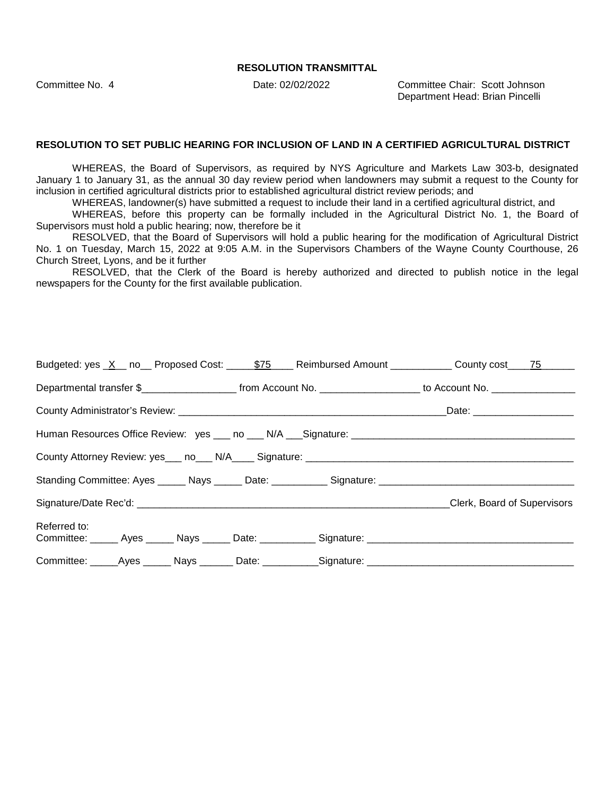Committee No. 4 Date: 02/02/2022 Committee Chair: Scott Johnson Department Head: Brian Pincelli

#### **RESOLUTION TO SET PUBLIC HEARING FOR INCLUSION OF LAND IN A CERTIFIED AGRICULTURAL DISTRICT**

WHEREAS, the Board of Supervisors, as required by NYS Agriculture and Markets Law 303-b, designated January 1 to January 31, as the annual 30 day review period when landowners may submit a request to the County for inclusion in certified agricultural districts prior to established agricultural district review periods; and

WHEREAS, landowner(s) have submitted a request to include their land in a certified agricultural district, and

WHEREAS, before this property can be formally included in the Agricultural District No. 1, the Board of Supervisors must hold a public hearing; now, therefore be it

RESOLVED, that the Board of Supervisors will hold a public hearing for the modification of Agricultural District No. 1 on Tuesday, March 15, 2022 at 9:05 A.M. in the Supervisors Chambers of the Wayne County Courthouse, 26 Church Street, Lyons, and be it further

RESOLVED, that the Clerk of the Board is hereby authorized and directed to publish notice in the legal newspapers for the County for the first available publication.

|                                                                                                      |  | Budgeted: yes <u>X</u> no Proposed Cost: 575 Reimbursed Amount County County cost 75                                                    |
|------------------------------------------------------------------------------------------------------|--|-----------------------------------------------------------------------------------------------------------------------------------------|
|                                                                                                      |  | Departmental transfer \$________________________________from Account No. ____________________________ to Account No. __________________ |
|                                                                                                      |  |                                                                                                                                         |
|                                                                                                      |  |                                                                                                                                         |
|                                                                                                      |  |                                                                                                                                         |
|                                                                                                      |  |                                                                                                                                         |
|                                                                                                      |  | <b>Clerk, Board of Supervisors</b>                                                                                                      |
| Referred to:                                                                                         |  | Committee: ______ Ayes ______ Nays ______ Date: ___________ Signature: _____________________________                                    |
| Committee: ______Ayes _______ Nays ________ Date: ___________Signature: ____________________________ |  |                                                                                                                                         |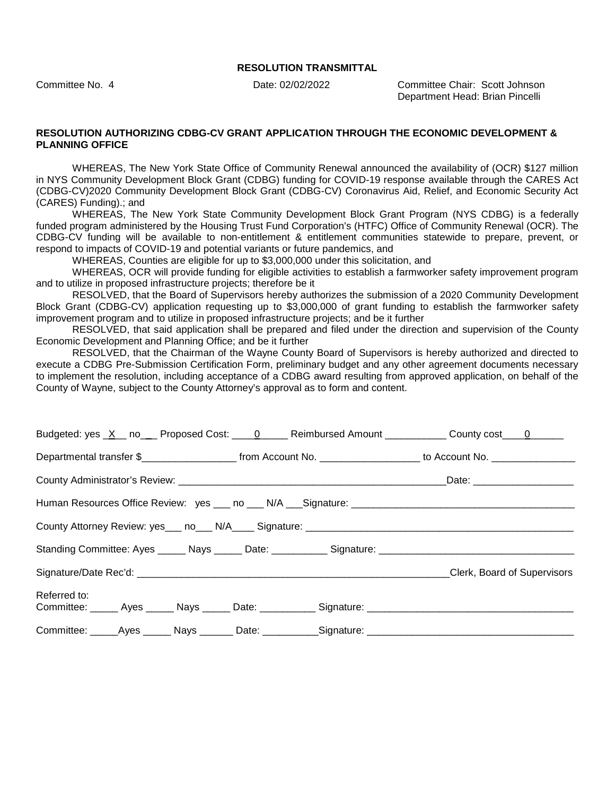Committee No. 4 Date: 02/02/2022 Committee Chair: Scott Johnson Department Head: Brian Pincelli

#### **RESOLUTION AUTHORIZING CDBG-CV GRANT APPLICATION THROUGH THE ECONOMIC DEVELOPMENT & PLANNING OFFICE**

WHEREAS, The New York State Office of Community Renewal announced the availability of (OCR) \$127 million in NYS Community Development Block Grant (CDBG) funding for COVID-19 response available through the CARES Act (CDBG-CV)2020 Community Development Block Grant (CDBG-CV) Coronavirus Aid, Relief, and Economic Security Act (CARES) Funding).; and

WHEREAS, The New York State Community Development Block Grant Program (NYS CDBG) is a federally funded program administered by the Housing Trust Fund Corporation's (HTFC) Office of Community Renewal (OCR). The CDBG-CV funding will be available to non-entitlement & entitlement communities statewide to prepare, prevent, or respond to impacts of COVID-19 and potential variants or future pandemics, and

WHEREAS, Counties are eligible for up to \$3,000,000 under this solicitation, and

WHEREAS, OCR will provide funding for eligible activities to establish a farmworker safety improvement program and to utilize in proposed infrastructure projects; therefore be it

RESOLVED, that the Board of Supervisors hereby authorizes the submission of a 2020 Community Development Block Grant (CDBG-CV) application requesting up to \$3,000,000 of grant funding to establish the farmworker safety improvement program and to utilize in proposed infrastructure projects; and be it further

RESOLVED, that said application shall be prepared and filed under the direction and supervision of the County Economic Development and Planning Office; and be it further

RESOLVED, that the Chairman of the Wayne County Board of Supervisors is hereby authorized and directed to execute a CDBG Pre-Submission Certification Form, preliminary budget and any other agreement documents necessary to implement the resolution, including acceptance of a CDBG award resulting from approved application, on behalf of the County of Wayne, subject to the County Attorney's approval as to form and content.

|                                                                                                  |  | Budgeted: yes _X__ no___ Proposed Cost: ____0_____ Reimbursed Amount ___________ County cost ___0______                                  |
|--------------------------------------------------------------------------------------------------|--|------------------------------------------------------------------------------------------------------------------------------------------|
|                                                                                                  |  | Departmental transfer \$________________________________from Account No. ____________________________ to Account No. ___________________ |
|                                                                                                  |  |                                                                                                                                          |
|                                                                                                  |  |                                                                                                                                          |
|                                                                                                  |  |                                                                                                                                          |
|                                                                                                  |  |                                                                                                                                          |
|                                                                                                  |  | Clerk, Board of Supervisors                                                                                                              |
| Referred to:<br>Committee: Ayes Nays Date: Signature: Committee: Ayes Ayes Nays Date: Committee: |  |                                                                                                                                          |
|                                                                                                  |  |                                                                                                                                          |